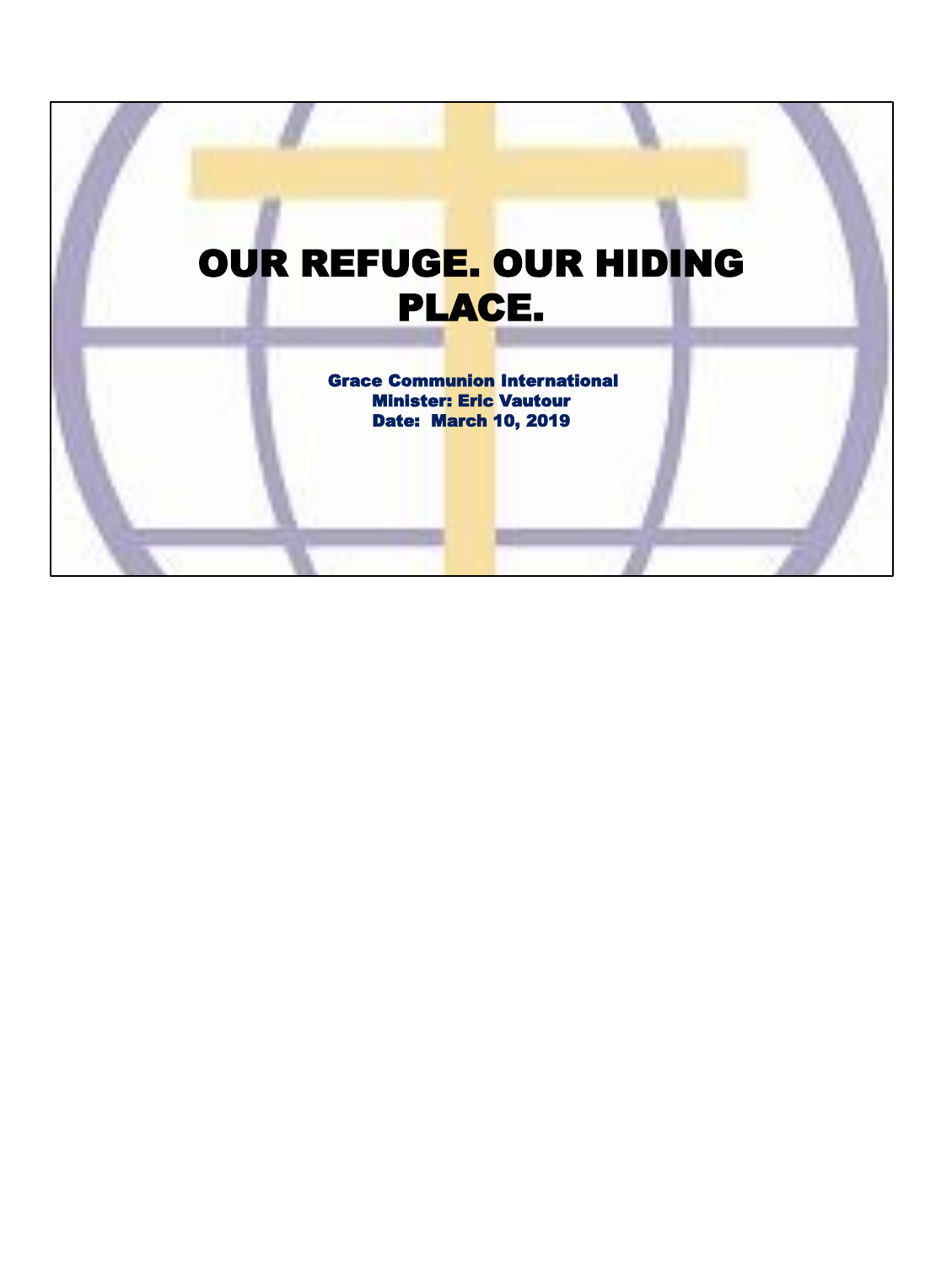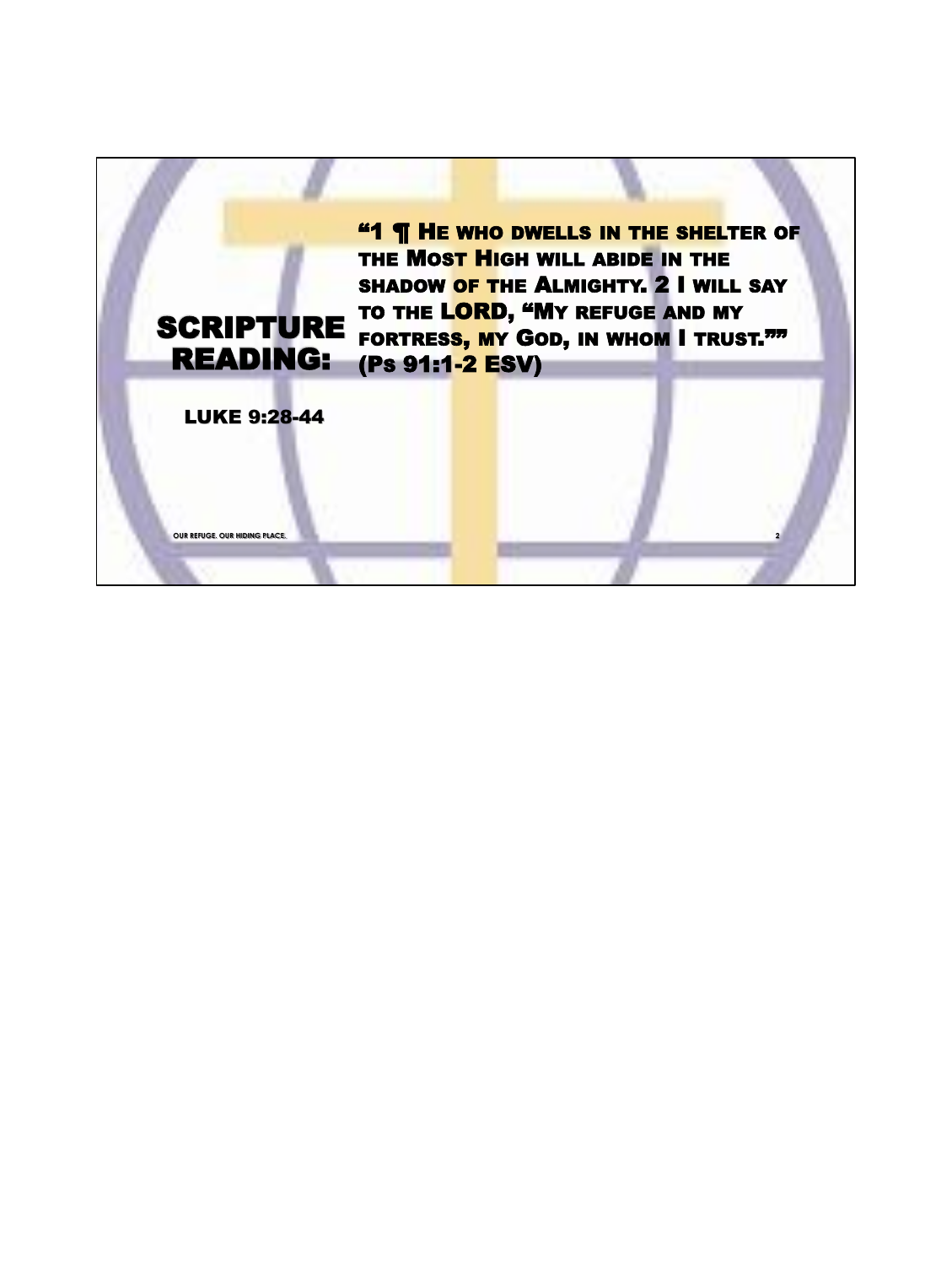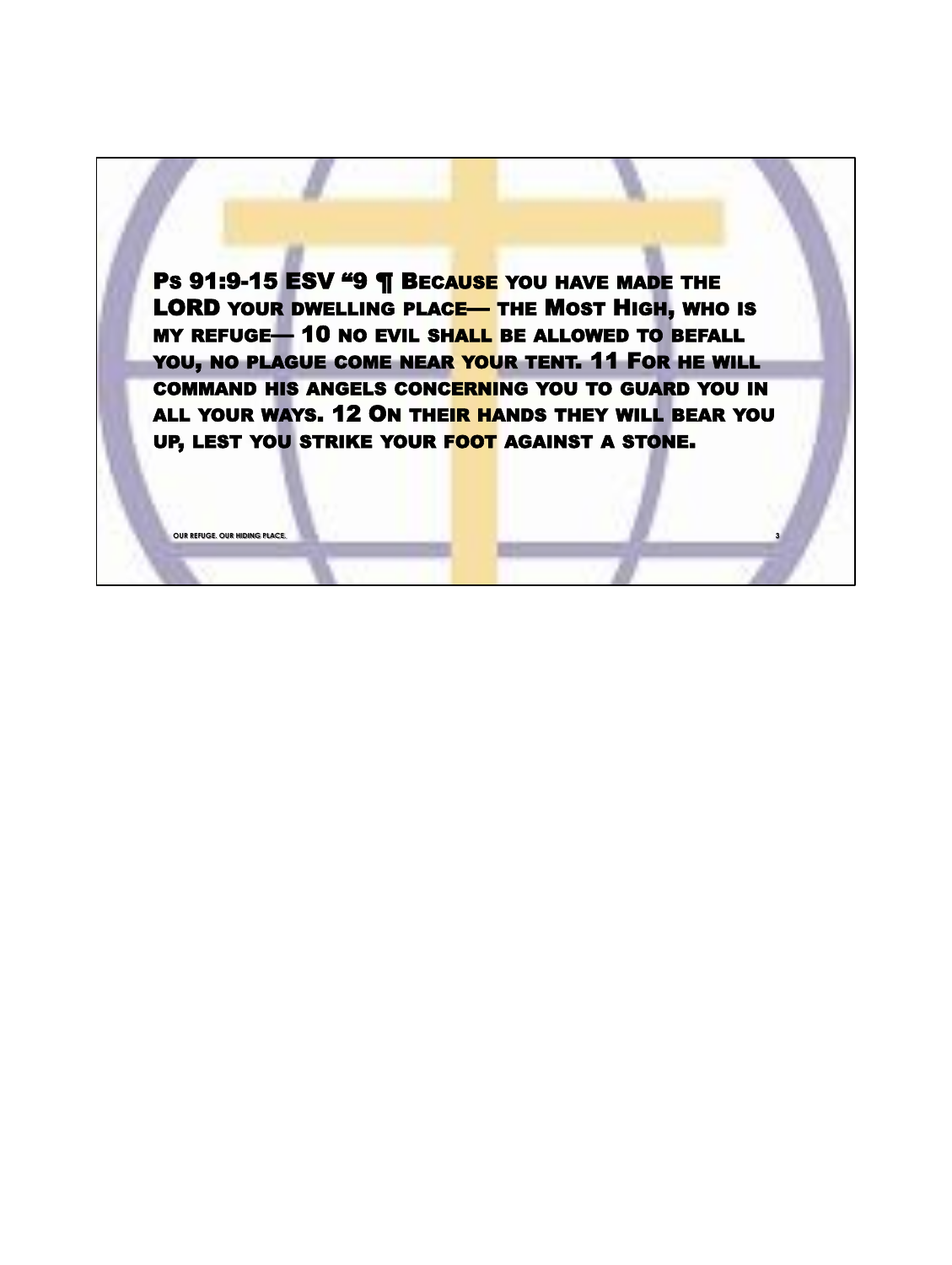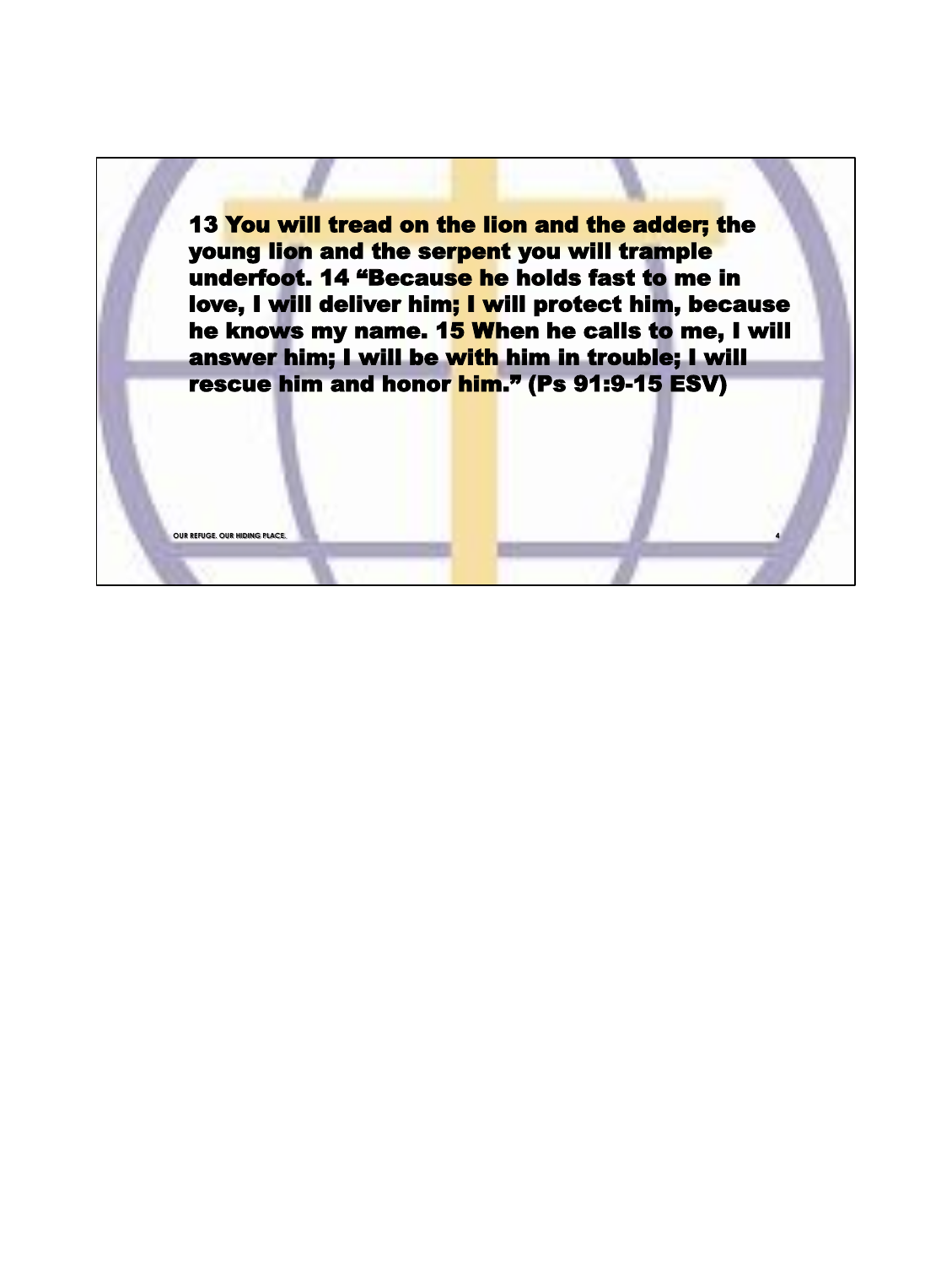13 You will tread on the lion and the adder; the young lion and the serpent you will trample underfoot. 14 "Because he holds fast to me in love, I will deliver him; I will protect him, because he knows my name. 15 When he calls to me, I will answer him; I will be with him in trouble; I will rescue him and honor him." (Ps 91:9-15 ESV)

**OUR REFUGE. OUR HIDING PLACE.**

**4**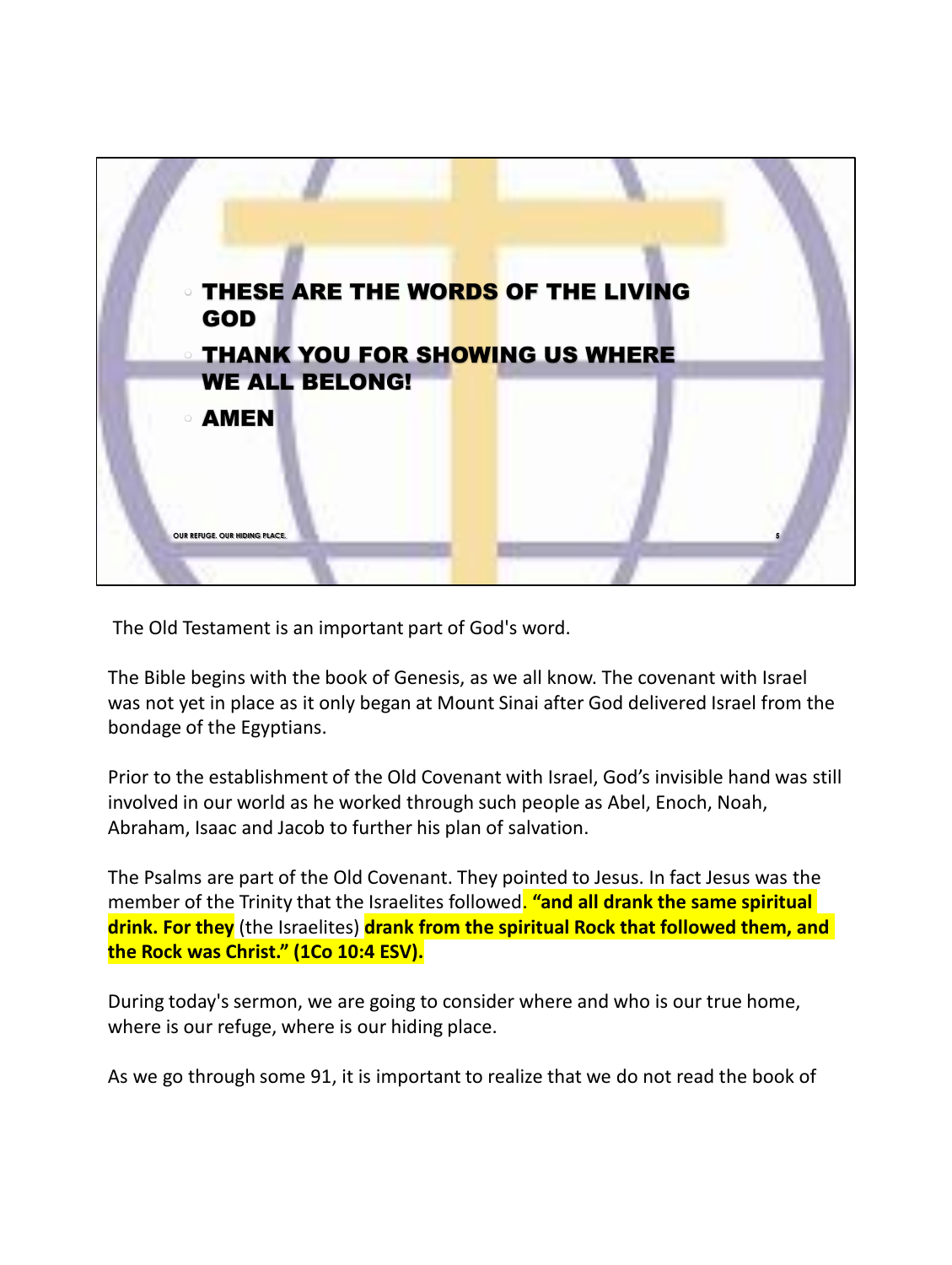

The Old Testament is an important part of God's word.

The Bible begins with the book of Genesis, as we all know. The covenant with Israel was not yet in place as it only began at Mount Sinai after God delivered Israel from the bondage of the Egyptians.

Prior to the establishment of the Old Covenant with Israel, God's invisible hand was still involved in our world as he worked through such people as Abel, Enoch, Noah, Abraham, Isaac and Jacob to further his plan of salvation.

The Psalms are part of the Old Covenant. They pointed to Jesus. In fact Jesus was the member of the Trinity that the Israelites followed. **"and all drank the same spiritual drink. For they** (the Israelites) **drank from the spiritual Rock that followed them, and the Rock was Christ." (1Co 10:4 ESV).**

During today's sermon, we are going to consider where and who is our true home, where is our refuge, where is our hiding place.

As we go through some 91, it is important to realize that we do not read the book of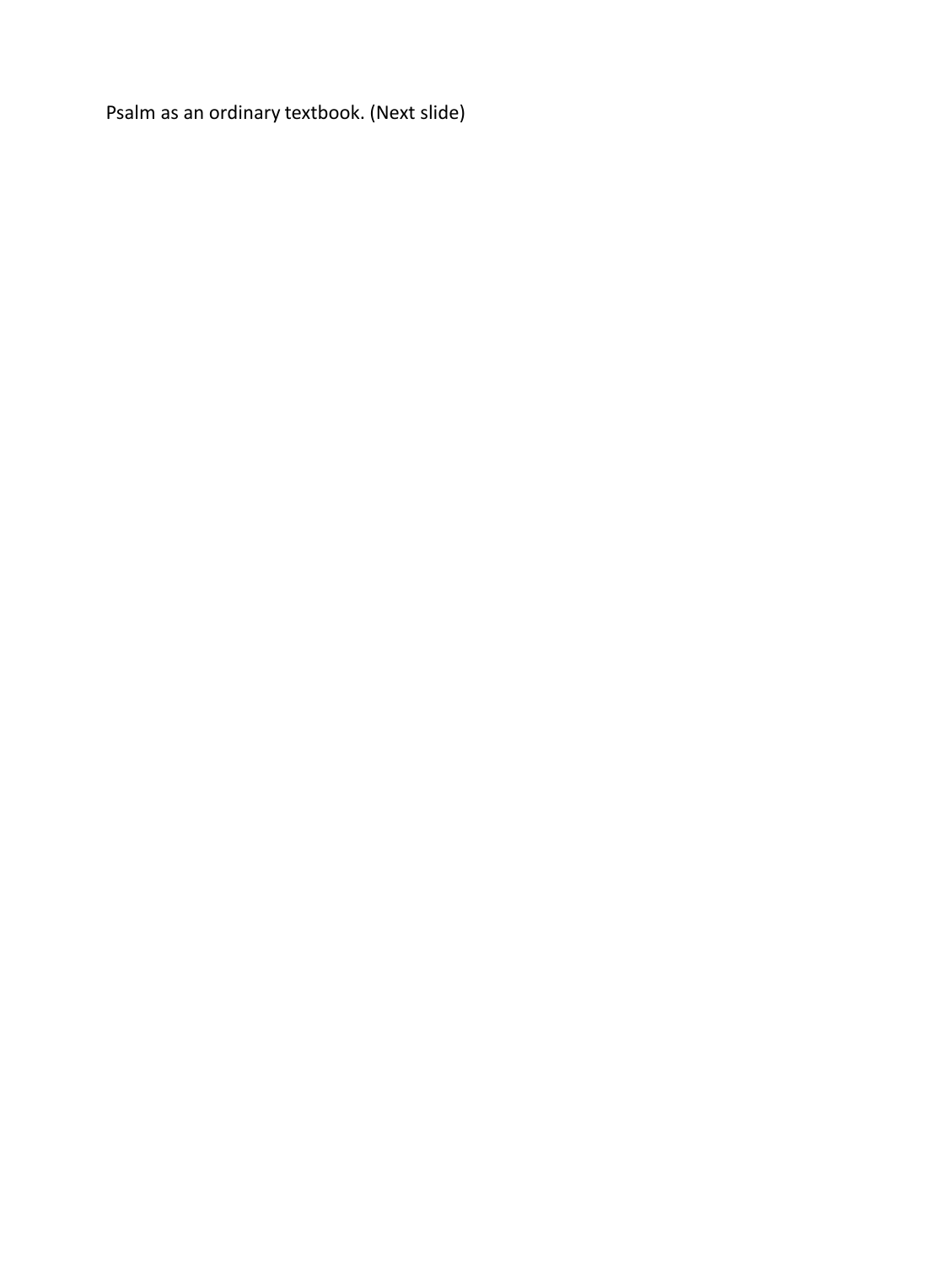Psalm as an ordinary textbook. (Next slide)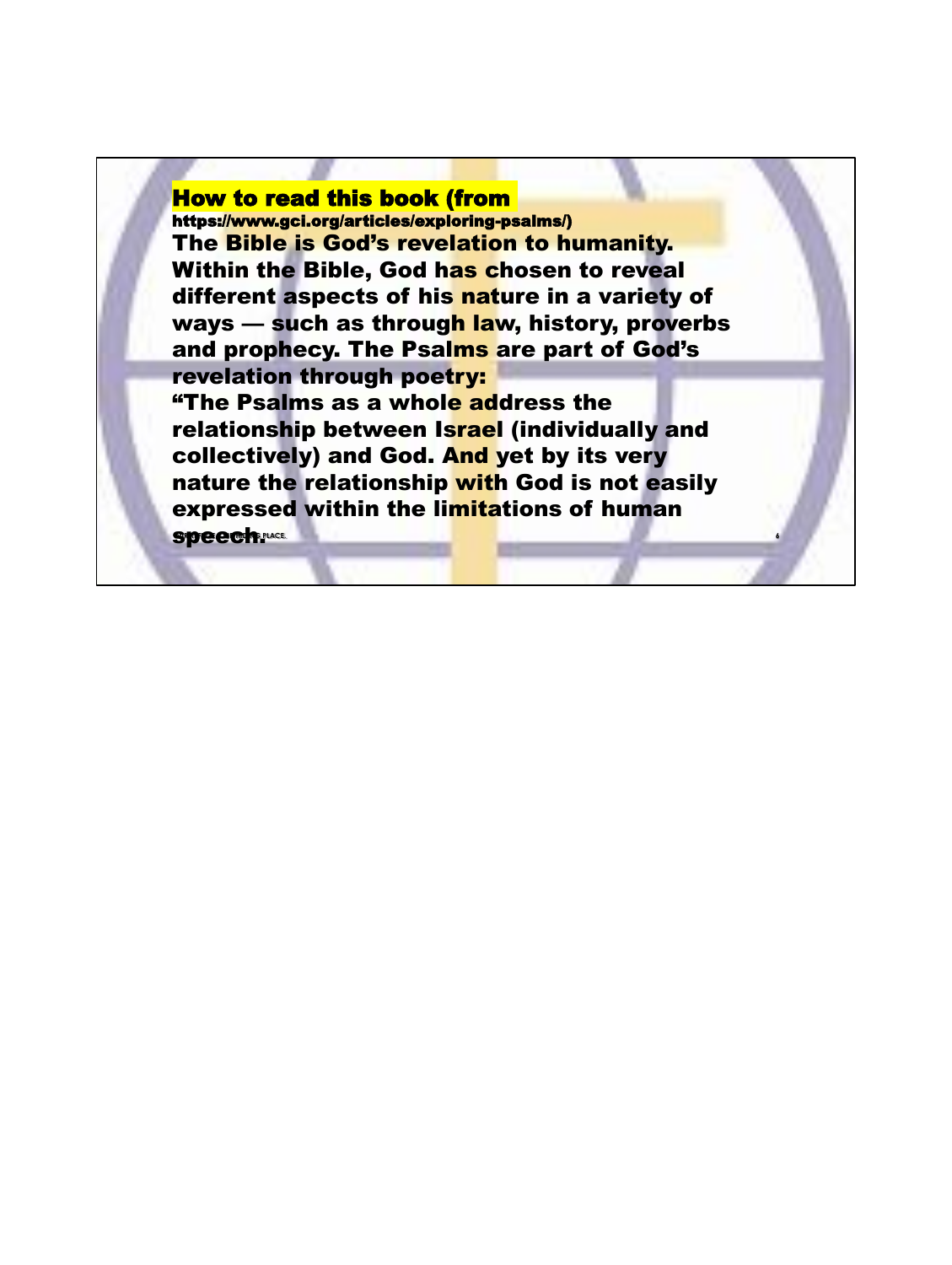# How to read this book (from

https://www.gci.org/articles/exploring-psalms/) The Bible is God's revelation to humanity. Within the Bible, God has chosen to reveal different aspects of his nature in a variety of ways — such as through law, history, proverbs and prophecy. The Psalms are part of God's revelation through poetry: "The Psalms as a whole address the relationship between Israel (individually and collectively) and God. And yet by its very nature the relationship with God is not easily expressed within the limitations of human

**6**

**speech. MACE.**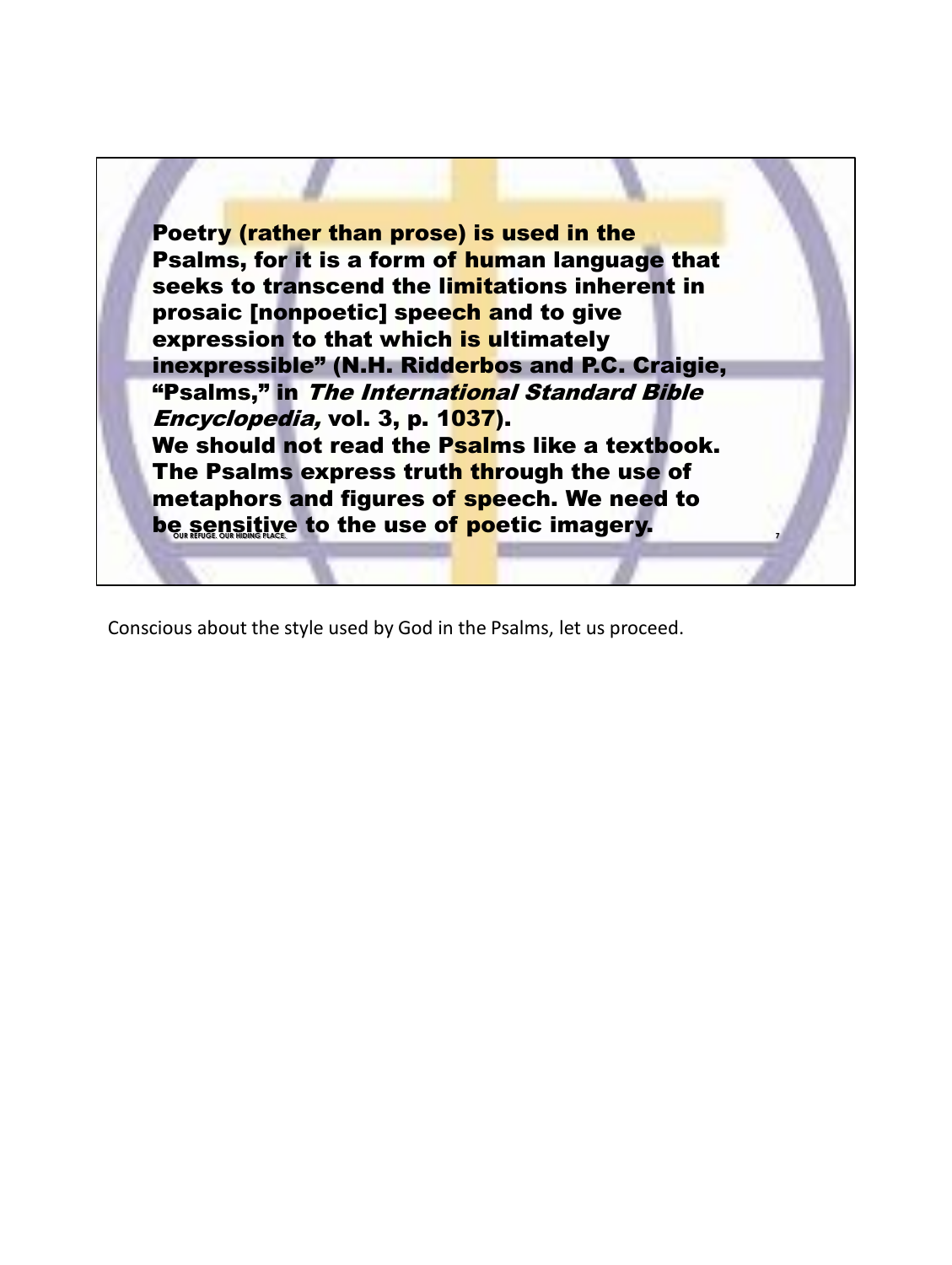

Conscious about the style used by God in the Psalms, let us proceed.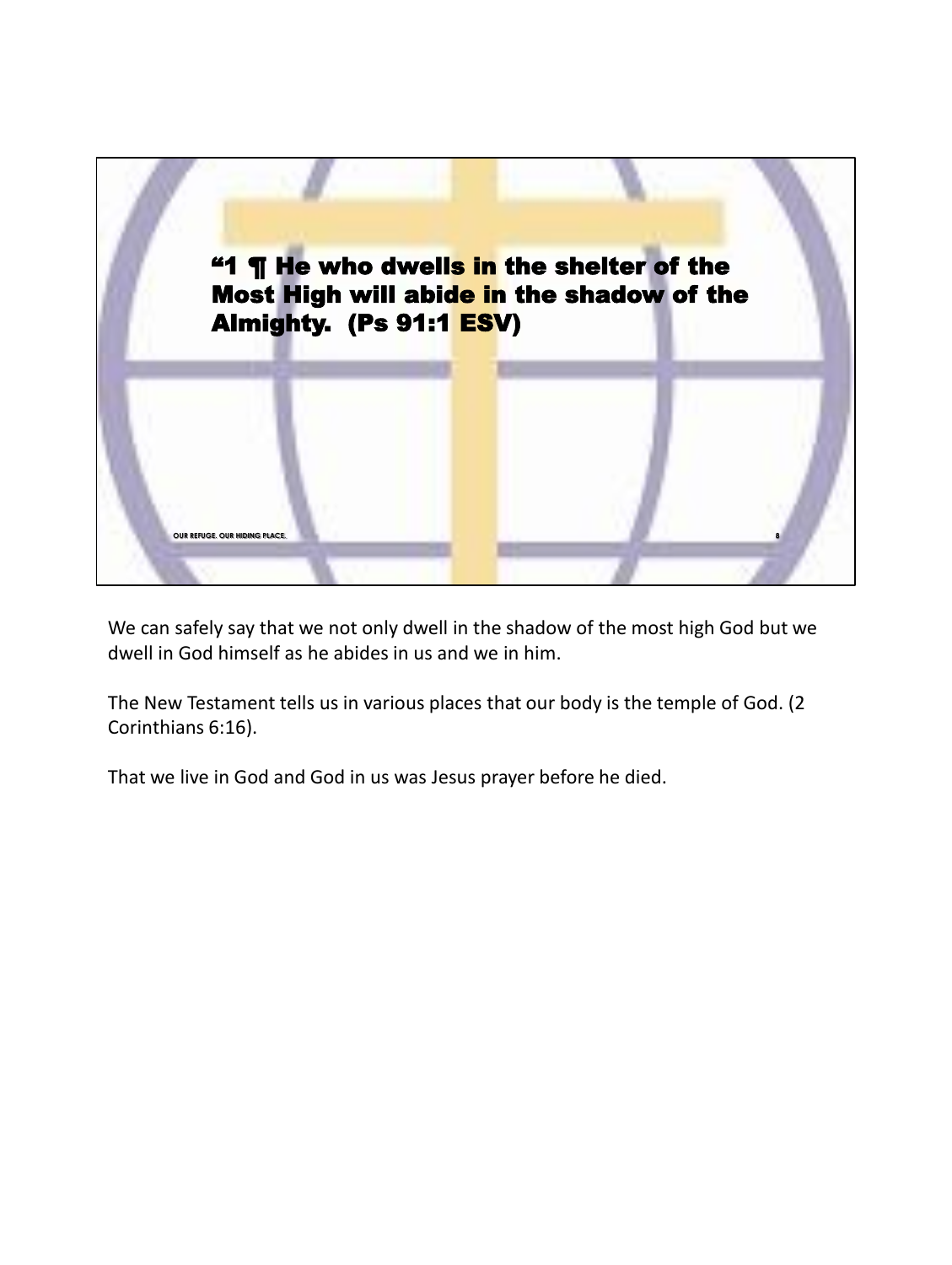

We can safely say that we not only dwell in the shadow of the most high God but we dwell in God himself as he abides in us and we in him.

The New Testament tells us in various places that our body is the temple of God. (2 Corinthians 6:16).

That we live in God and God in us was Jesus prayer before he died.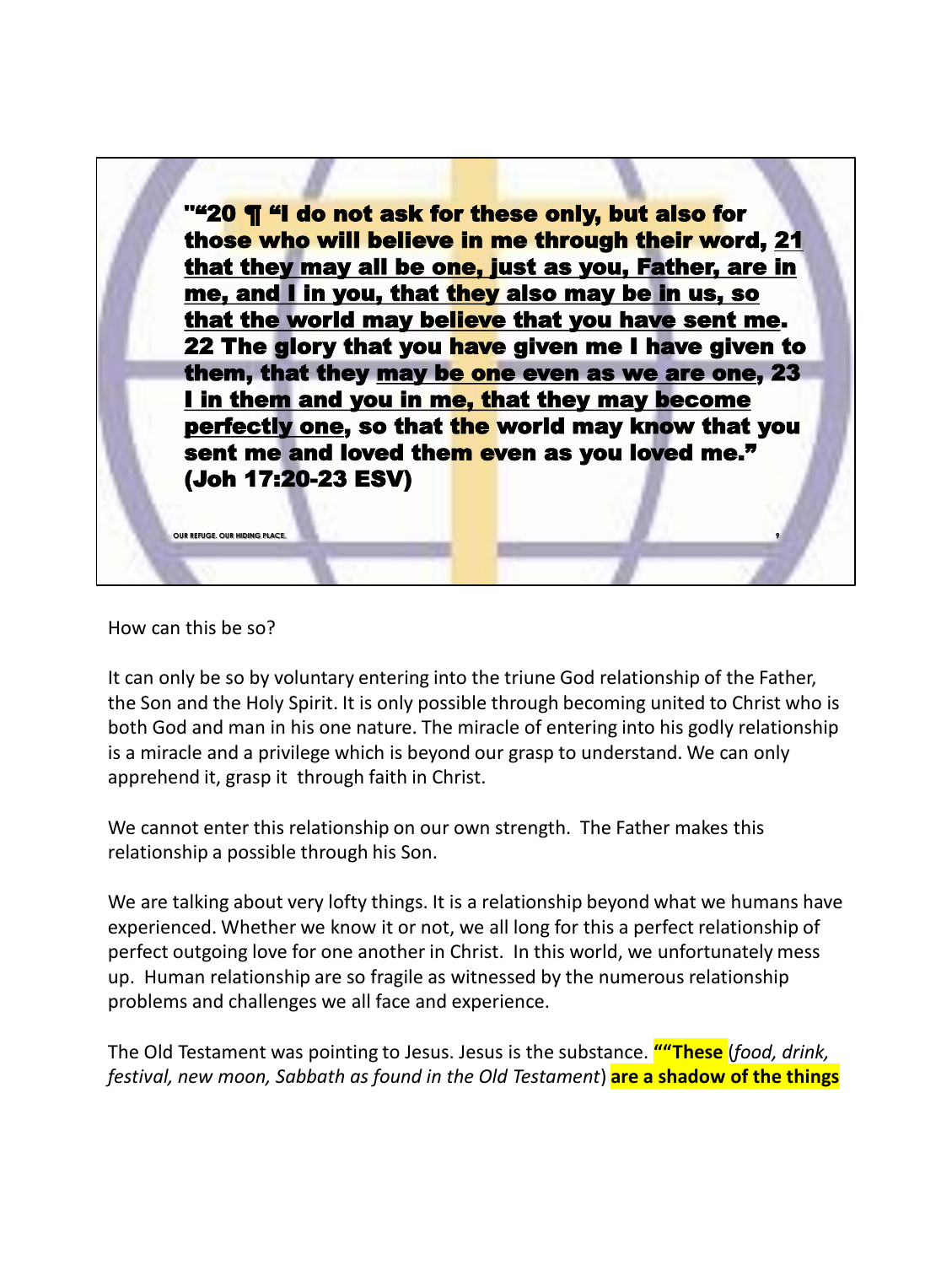

How can this be so?

It can only be so by voluntary entering into the triune God relationship of the Father, the Son and the Holy Spirit. It is only possible through becoming united to Christ who is both God and man in his one nature. The miracle of entering into his godly relationship is a miracle and a privilege which is beyond our grasp to understand. We can only apprehend it, grasp it through faith in Christ.

We cannot enter this relationship on our own strength. The Father makes this relationship a possible through his Son.

We are talking about very lofty things. It is a relationship beyond what we humans have experienced. Whether we know it or not, we all long for this a perfect relationship of perfect outgoing love for one another in Christ. In this world, we unfortunately mess up. Human relationship are so fragile as witnessed by the numerous relationship problems and challenges we all face and experience.

The Old Testament was pointing to Jesus. Jesus is the substance. **""These** (*food, drink, festival, new moon, Sabbath as found in the Old Testament*) **are a shadow of the things**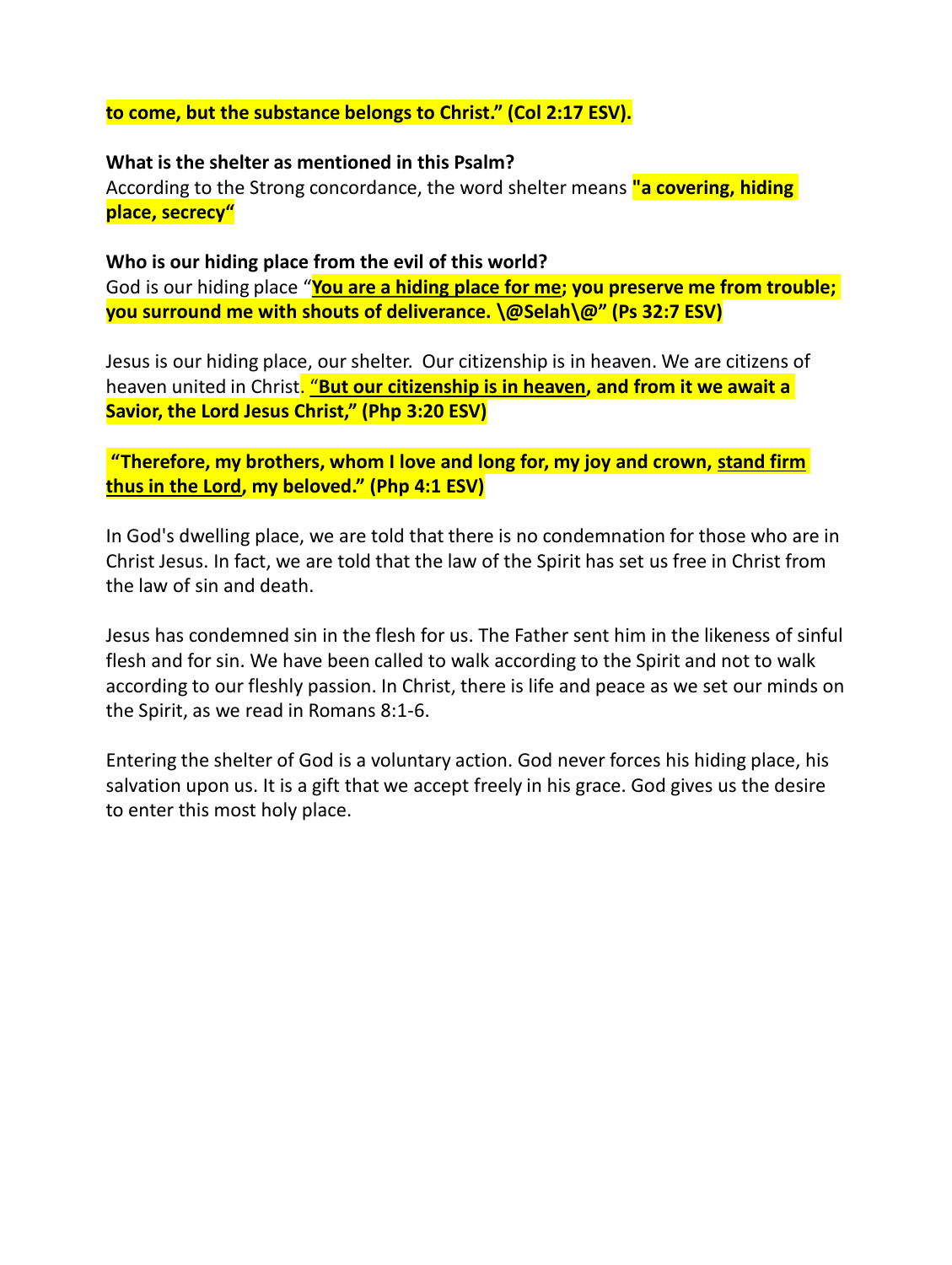### **to come, but the substance belongs to Christ." (Col 2:17 ESV).**

#### **What is the shelter as mentioned in this Psalm?**

According to the Strong concordance, the word shelter means **"a covering, hiding place, secrecy"**

#### **Who is our hiding place from the evil of this world?**

God is our hiding place "**You are a hiding place for me; you preserve me from trouble; you surround me with shouts of deliverance. \@Selah\@" (Ps 32:7 ESV)**

Jesus is our hiding place, our shelter. Our citizenship is in heaven. We are citizens of heaven united in Christ. "**But our citizenship is in heaven, and from it we await a Savior, the Lord Jesus Christ," (Php 3:20 ESV)**

## **"Therefore, my brothers, whom I love and long for, my joy and crown, stand firm thus in the Lord, my beloved." (Php 4:1 ESV)**

In God's dwelling place, we are told that there is no condemnation for those who are in Christ Jesus. In fact, we are told that the law of the Spirit has set us free in Christ from the law of sin and death.

Jesus has condemned sin in the flesh for us. The Father sent him in the likeness of sinful flesh and for sin. We have been called to walk according to the Spirit and not to walk according to our fleshly passion. In Christ, there is life and peace as we set our minds on the Spirit, as we read in Romans 8:1-6.

Entering the shelter of God is a voluntary action. God never forces his hiding place, his salvation upon us. It is a gift that we accept freely in his grace. God gives us the desire to enter this most holy place.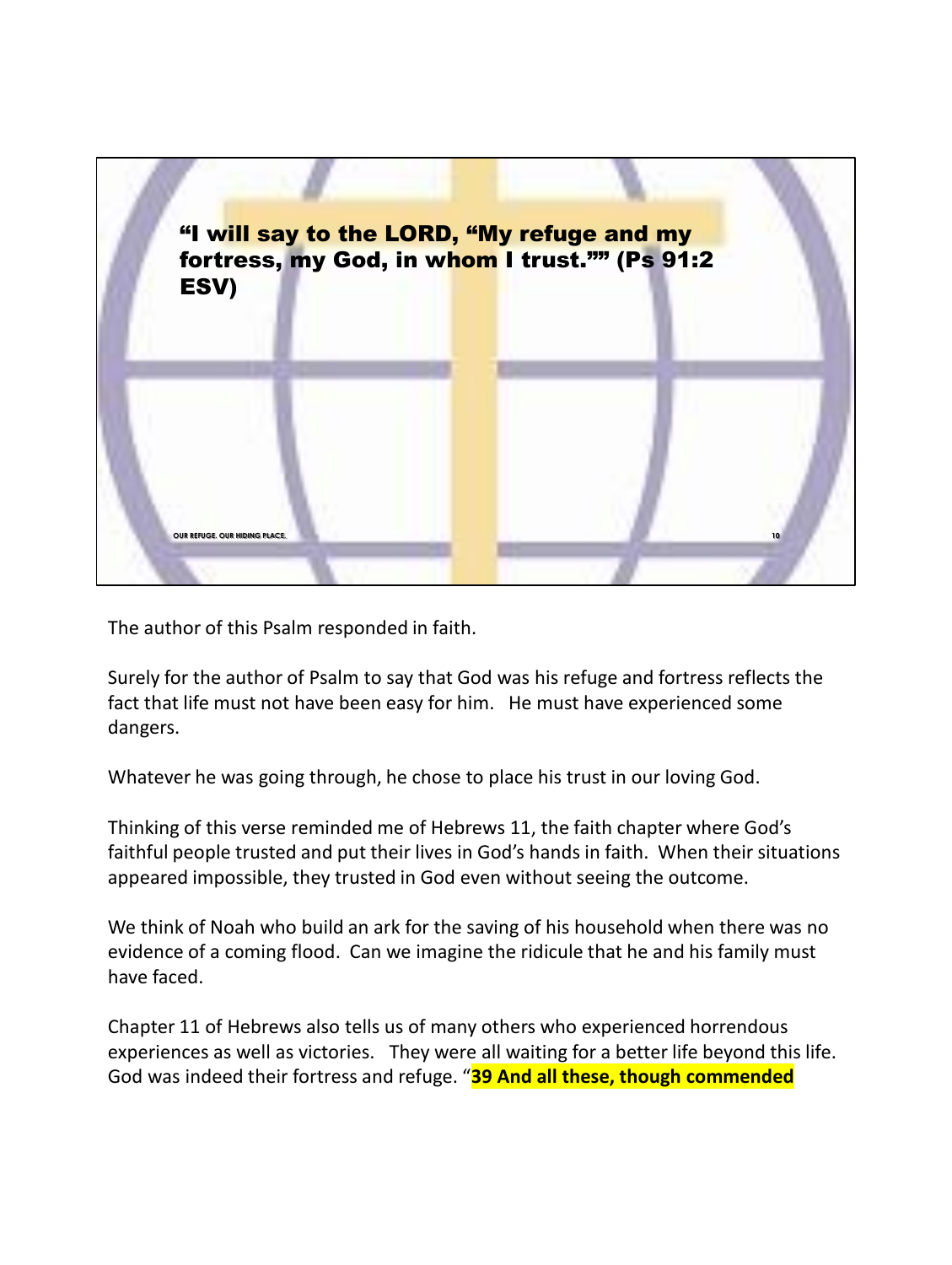

The author of this Psalm responded in faith.

Surely for the author of Psalm to say that God was his refuge and fortress reflects the fact that life must not have been easy for him. He must have experienced some dangers.

Whatever he was going through, he chose to place his trust in our loving God.

Thinking of this verse reminded me of Hebrews 11, the faith chapter where God's faithful people trusted and put their lives in God's hands in faith. When their situations appeared impossible, they trusted in God even without seeing the outcome.

We think of Noah who build an ark for the saving of his household when there was no evidence of a coming flood. Can we imagine the ridicule that he and his family must have faced.

Chapter 11 of Hebrews also tells us of many others who experienced horrendous experiences as well as victories. They were all waiting for a better life beyond this life. God was indeed their fortress and refuge. "**39 And all these, though commended**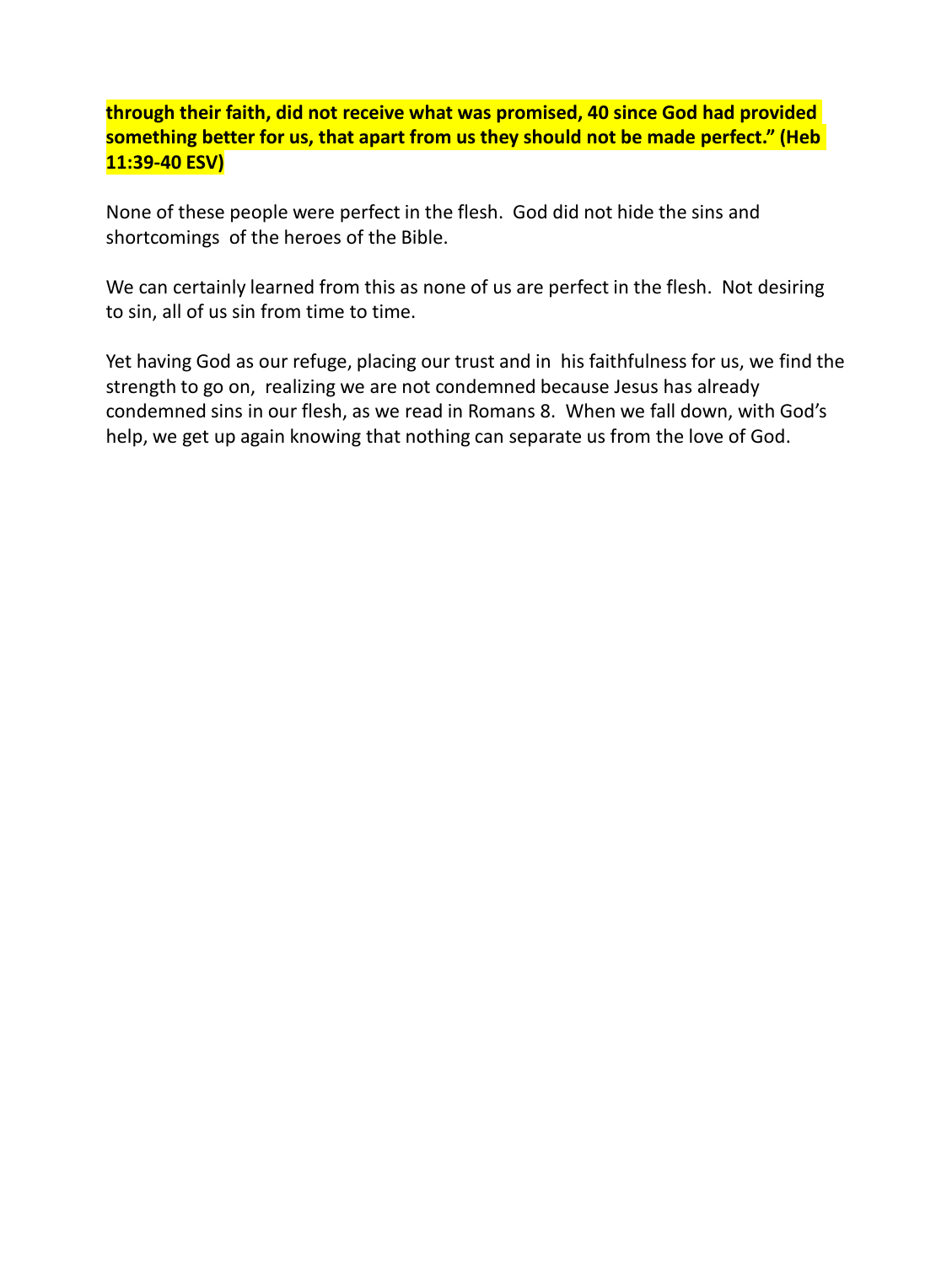## **through their faith, did not receive what was promised, 40 since God had provided something better for us, that apart from us they should not be made perfect." (Heb 11:39-40 ESV)**

None of these people were perfect in the flesh. God did not hide the sins and shortcomings of the heroes of the Bible.

We can certainly learned from this as none of us are perfect in the flesh. Not desiring to sin, all of us sin from time to time.

Yet having God as our refuge, placing our trust and in his faithfulness for us, we find the strength to go on, realizing we are not condemned because Jesus has already condemned sins in our flesh, as we read in Romans 8. When we fall down, with God's help, we get up again knowing that nothing can separate us from the love of God.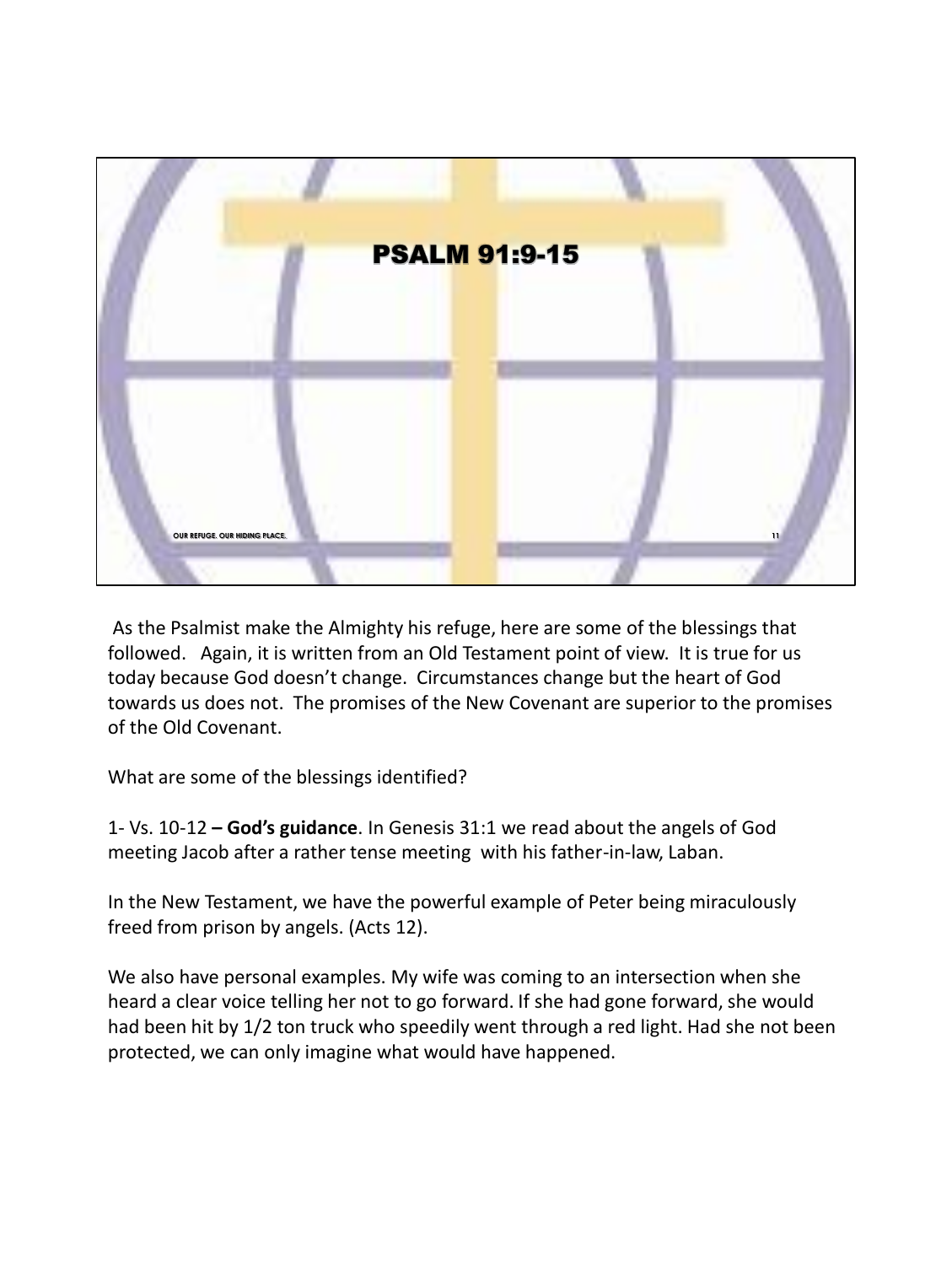

As the Psalmist make the Almighty his refuge, here are some of the blessings that followed. Again, it is written from an Old Testament point of view. It is true for us today because God doesn't change. Circumstances change but the heart of God towards us does not. The promises of the New Covenant are superior to the promises of the Old Covenant.

What are some of the blessings identified?

1- Vs. 10-12 **– God's guidance**. In Genesis 31:1 we read about the angels of God meeting Jacob after a rather tense meeting with his father-in-law, Laban.

In the New Testament, we have the powerful example of Peter being miraculously freed from prison by angels. (Acts 12).

We also have personal examples. My wife was coming to an intersection when she heard a clear voice telling her not to go forward. If she had gone forward, she would had been hit by 1/2 ton truck who speedily went through a red light. Had she not been protected, we can only imagine what would have happened.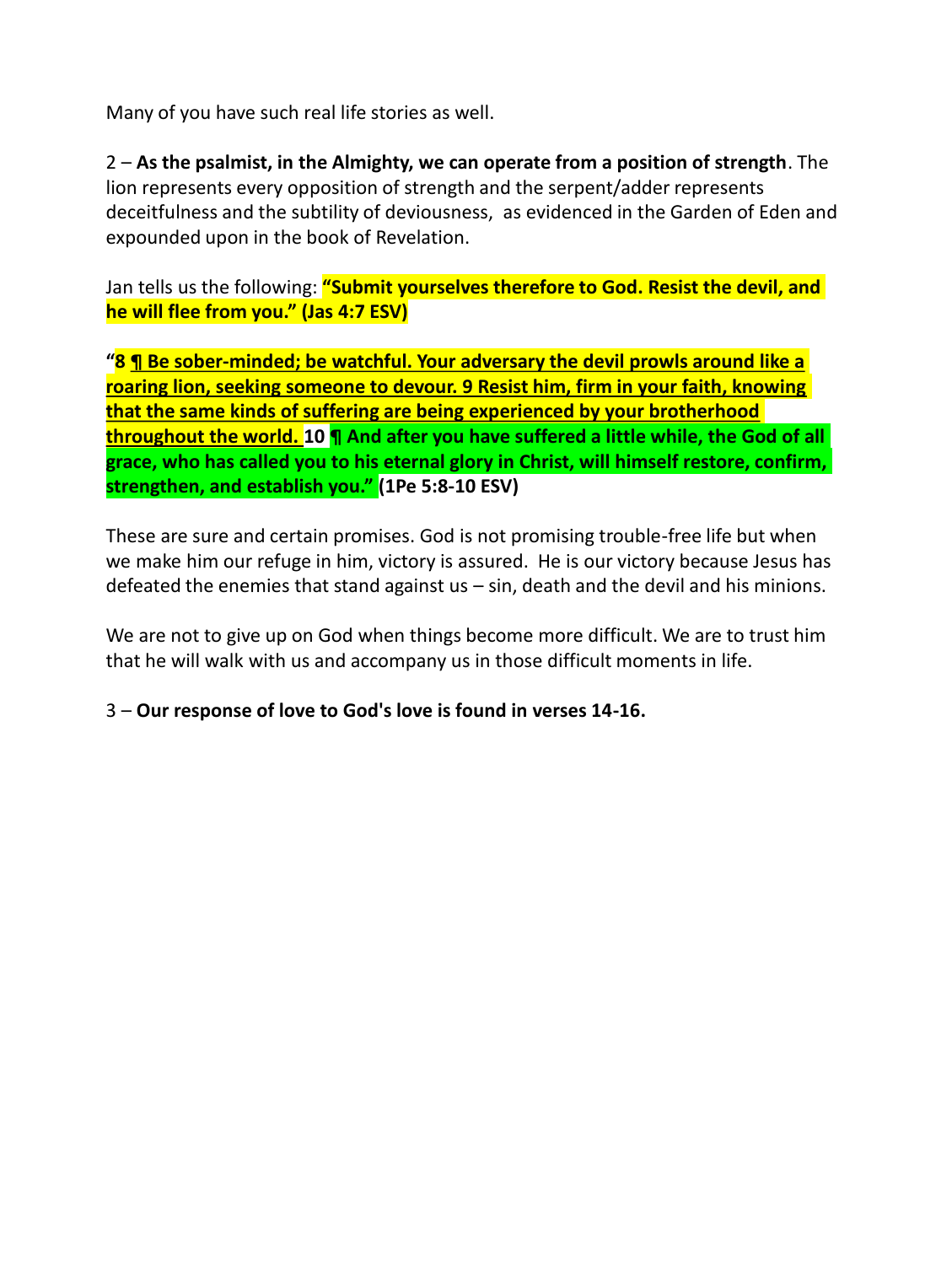Many of you have such real life stories as well.

2 – **As the psalmist, in the Almighty, we can operate from a position of strength**. The lion represents every opposition of strength and the serpent/adder represents deceitfulness and the subtility of deviousness, as evidenced in the Garden of Eden and expounded upon in the book of Revelation.

Jan tells us the following: **"Submit yourselves therefore to God. Resist the devil, and he will flee from you." (Jas 4:7 ESV)**

**"8 ¶ Be sober-minded; be watchful. Your adversary the devil prowls around like a roaring lion, seeking someone to devour. 9 Resist him, firm in your faith, knowing that the same kinds of suffering are being experienced by your brotherhood throughout the world. 10 ¶ And after you have suffered a little while, the God of all grace, who has called you to his eternal glory in Christ, will himself restore, confirm, strengthen, and establish you." (1Pe 5:8-10 ESV)**

These are sure and certain promises. God is not promising trouble-free life but when we make him our refuge in him, victory is assured. He is our victory because Jesus has defeated the enemies that stand against  $us - sin$ , death and the devil and his minions.

We are not to give up on God when things become more difficult. We are to trust him that he will walk with us and accompany us in those difficult moments in life.

3 – **Our response of love to God's love is found in verses 14-16.**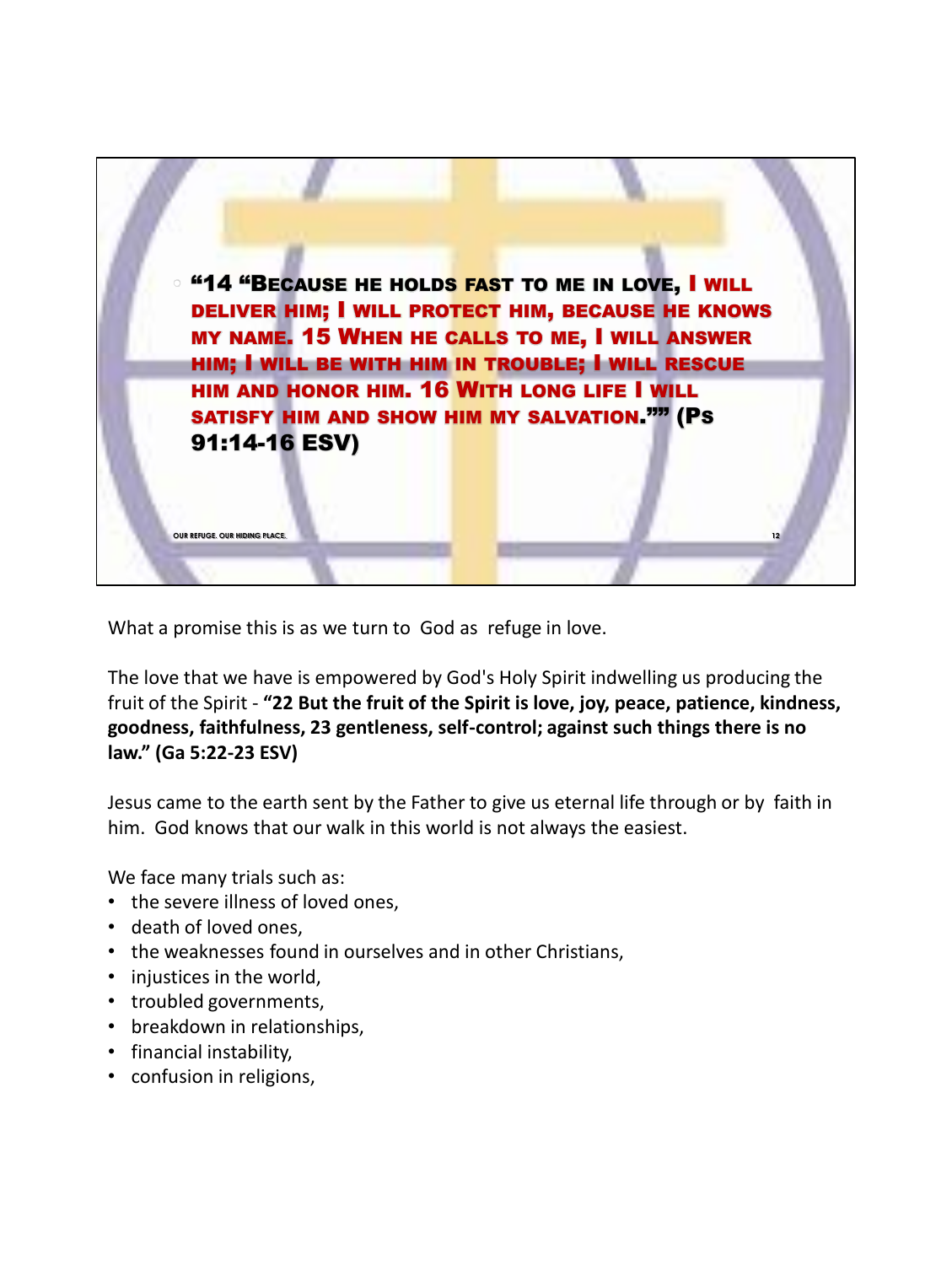

What a promise this is as we turn to God as refuge in love.

The love that we have is empowered by God's Holy Spirit indwelling us producing the fruit of the Spirit - **"22 But the fruit of the Spirit is love, joy, peace, patience, kindness, goodness, faithfulness, 23 gentleness, self-control; against such things there is no law." (Ga 5:22-23 ESV)**

Jesus came to the earth sent by the Father to give us eternal life through or by faith in him. God knows that our walk in this world is not always the easiest.

We face many trials such as:

- the severe illness of loved ones,
- death of loved ones,
- the weaknesses found in ourselves and in other Christians,
- injustices in the world,
- troubled governments,
- breakdown in relationships,
- financial instability,
- confusion in religions,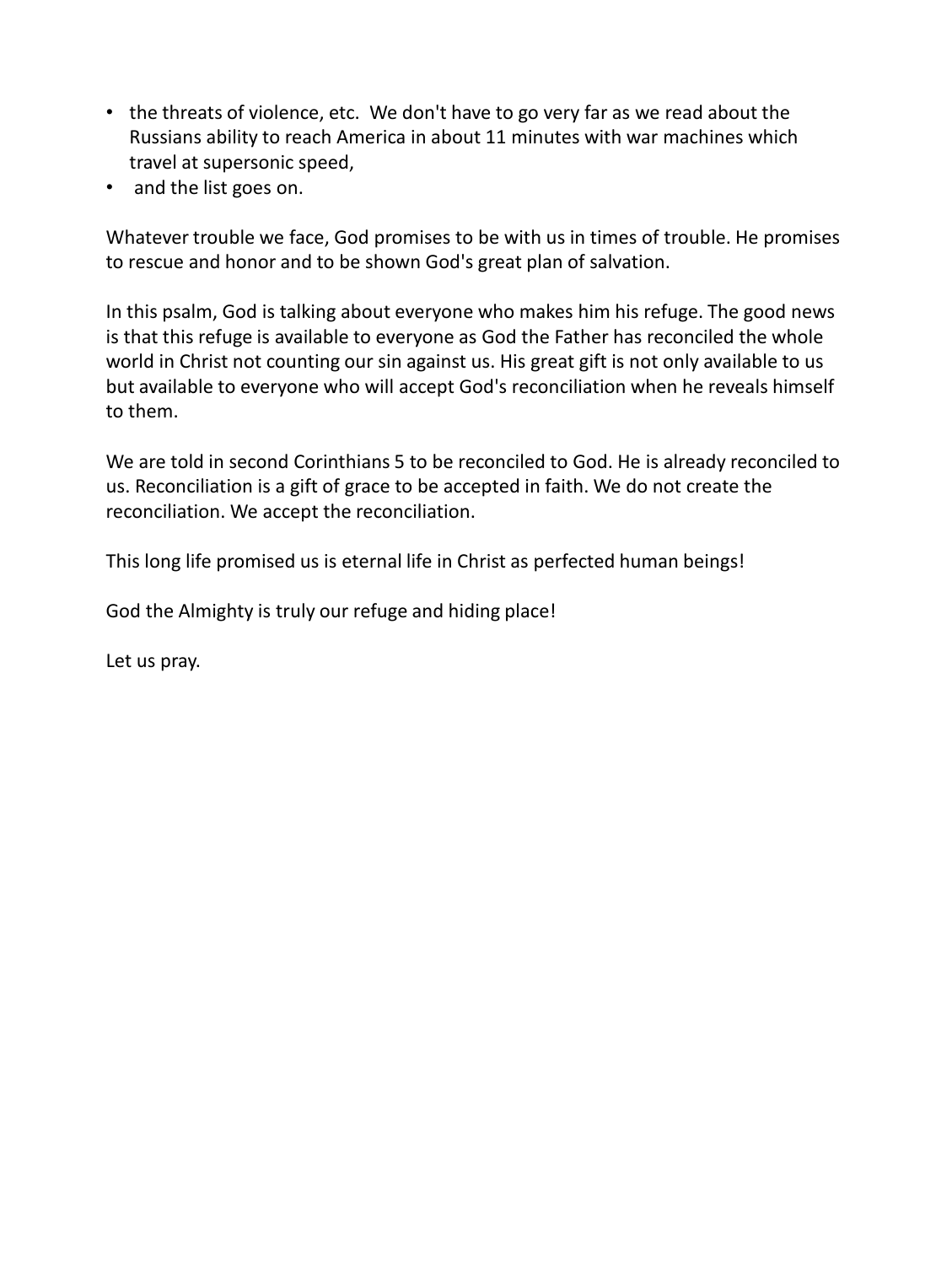- the threats of violence, etc. We don't have to go very far as we read about the Russians ability to reach America in about 11 minutes with war machines which travel at supersonic speed,
- and the list goes on.

Whatever trouble we face, God promises to be with us in times of trouble. He promises to rescue and honor and to be shown God's great plan of salvation.

In this psalm, God is talking about everyone who makes him his refuge. The good news is that this refuge is available to everyone as God the Father has reconciled the whole world in Christ not counting our sin against us. His great gift is not only available to us but available to everyone who will accept God's reconciliation when he reveals himself to them.

We are told in second Corinthians 5 to be reconciled to God. He is already reconciled to us. Reconciliation is a gift of grace to be accepted in faith. We do not create the reconciliation. We accept the reconciliation.

This long life promised us is eternal life in Christ as perfected human beings!

God the Almighty is truly our refuge and hiding place!

Let us pray.